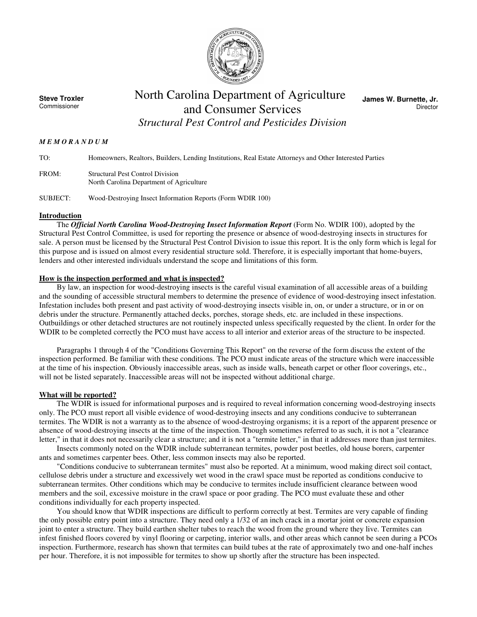

**Steve Troxler**  Commissioner

# North Carolina Department of Agriculture and Consumer Services *Structural Pest Control and Pesticides Division*

**James W. Burnette, Jr. Director** 

## *M E M O R A N D U M*

TO: Homeowners, Realtors, Builders, Lending Institutions, Real Estate Attorneys and Other Interested Parties FROM: Structural Pest Control Division North Carolina Department of Agriculture

SUBJECT: Wood-Destroying Insect Information Reports (Form WDIR 100)

# **Introduction**

The *Official North Carolina Wood-Destroying Insect Information Report* (Form No. WDIR 100), adopted by the Structural Pest Control Committee, is used for reporting the presence or absence of wood-destroying insects in structures for sale. A person must be licensed by the Structural Pest Control Division to issue this report. It is the only form which is legal for this purpose and is issued on almost every residential structure sold. Therefore, it is especially important that home-buyers, lenders and other interested individuals understand the scope and limitations of this form.

# **How is the inspection performed and what is inspected?**

By law, an inspection for wood-destroying insects is the careful visual examination of all accessible areas of a building and the sounding of accessible structural members to determine the presence of evidence of wood-destroying insect infestation. Infestation includes both present and past activity of wood-destroying insects visible in, on, or under a structure, or in or on debris under the structure. Permanently attached decks, porches, storage sheds, etc. are included in these inspections. Outbuildings or other detached structures are not routinely inspected unless specifically requested by the client. In order for the WDIR to be completed correctly the PCO must have access to all interior and exterior areas of the structure to be inspected.

Paragraphs 1 through 4 of the "Conditions Governing This Report" on the reverse of the form discuss the extent of the inspection performed. Be familiar with these conditions. The PCO must indicate areas of the structure which were inaccessible at the time of his inspection. Obviously inaccessible areas, such as inside walls, beneath carpet or other floor coverings, etc., will not be listed separately. Inaccessible areas will not be inspected without additional charge.

## **What will be reported?**

The WDIR is issued for informational purposes and is required to reveal information concerning wood-destroying insects only. The PCO must report all visible evidence of wood-destroying insects and any conditions conducive to subterranean termites. The WDIR is not a warranty as to the absence of wood-destroying organisms; it is a report of the apparent presence or absence of wood-destroying insects at the time of the inspection. Though sometimes referred to as such, it is not a "clearance letter," in that it does not necessarily clear a structure; and it is not a "termite letter," in that it addresses more than just termites.

 Insects commonly noted on the WDIR include subterranean termites, powder post beetles, old house borers, carpenter ants and sometimes carpenter bees. Other, less common insects may also be reported.

"Conditions conducive to subterranean termites" must also be reported. At a minimum, wood making direct soil contact, cellulose debris under a structure and excessively wet wood in the crawl space must be reported as conditions conducive to subterranean termites. Other conditions which may be conducive to termites include insufficient clearance between wood members and the soil, excessive moisture in the crawl space or poor grading. The PCO must evaluate these and other conditions individually for each property inspected.

You should know that WDIR inspections are difficult to perform correctly at best. Termites are very capable of finding the only possible entry point into a structure. They need only a 1/32 of an inch crack in a mortar joint or concrete expansion joint to enter a structure. They build earthen shelter tubes to reach the wood from the ground where they live. Termites can infest finished floors covered by vinyl flooring or carpeting, interior walls, and other areas which cannot be seen during a PCOs inspection. Furthermore, research has shown that termites can build tubes at the rate of approximately two and one-half inches per hour. Therefore, it is not impossible for termites to show up shortly after the structure has been inspected.